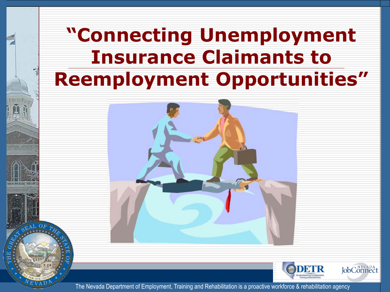### **"Connecting Unemployment Insurance Claimants to Reemployment Opportunities"**



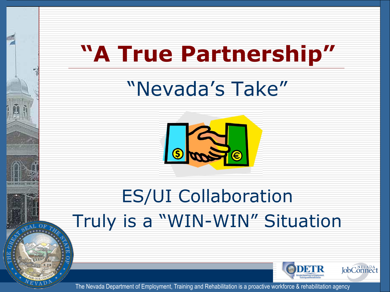## **"A True Partnership"**

## "Nevada's Take"



### ES/UI Collaboration Truly is a "WIN-WIN" Situation

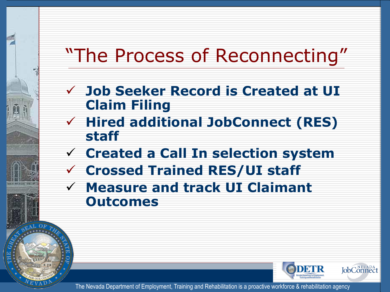### "The Process of Reconnecting"

- **Job Seeker Record is Created at UI Claim Filing**
- **Hired additional JobConnect (RES) staff**
- **Created a Call In selection system**
- **Crossed Trained RES/UI staff**
- **Measure and track UI Claimant Outcomes**

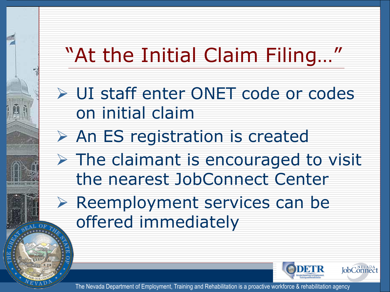## "At the Initial Claim Filing…"

- UI staff enter ONET code or codes on initial claim
- $\triangleright$  An ES registration is created
- $\triangleright$  The claimant is encouraged to visit the nearest JobConnect Center
- $\triangleright$  Reemployment services can be offered immediately

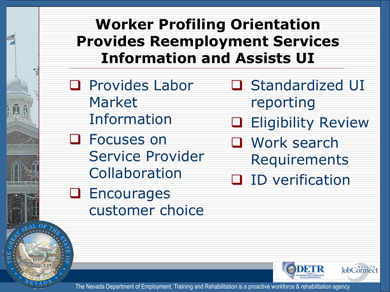#### **Worker Profiling Orientation Provides Reemployment Services Information and Assists UI**

- **Q** Provides Labor Market Information **Q** Focuses on
	- Service Provider Collaboration
- **Q** Encourages customer choice
- **□ Standardized UI** reporting
- Eligibility Review
- Work search Requirements
- **D** ID verification

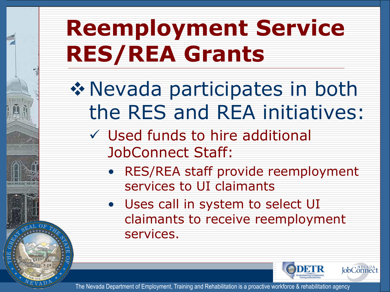## **Reemployment Service RES/REA Grants**

Nevada participates in both the RES and REA initiatives:

- Used funds to hire additional JobConnect Staff:
	- RES/REA staff provide reemployment services to UI claimants
	- Uses call in system to select UI claimants to receive reemployment services.

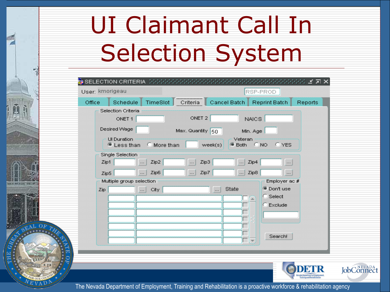# UI Claimant Call In Selection System

|        | User: kmorigeau                              |           |                  | RSP-PROD                               |                          |  |  |
|--------|----------------------------------------------|-----------|------------------|----------------------------------------|--------------------------|--|--|
| Office | Schedule                                     | TimeSlot  | Criteria         | Cancel Batch                           | Reprint Batch<br>Reports |  |  |
|        | Selection Criteria                           |           |                  |                                        |                          |  |  |
|        | ONET <sub>1</sub>                            |           | ONET 2           | <b>NAICS</b>                           |                          |  |  |
|        | Desired Wage                                 |           | Max. Quantity 50 | Min. Age                               |                          |  |  |
|        | <b>UI</b> Duration<br><sup>@</sup> Less than | More than | week(s)          | Veteran<br>$C$ NO<br><sup>■</sup> Both | C YES                    |  |  |
|        | <b>Single Selection</b>                      |           |                  |                                        |                          |  |  |
| Zip1   |                                              | Zip2<br>  | Zip3<br>         | Zip4<br>$\cdots$                       |                          |  |  |
| Zip5   |                                              | Zip6<br>  | Zip7<br>         | Zip8<br>                               | $\cdots$                 |  |  |
|        | Multiple group selection                     |           |                  |                                        | Employer ac #            |  |  |
| Zip    |                                              | City<br>  | .                | <b>State</b>                           | <sup>O</sup> Don't use   |  |  |
|        |                                              |           |                  |                                        | C Select                 |  |  |
|        |                                              |           |                  |                                        | $C$ Exclude              |  |  |
|        |                                              |           |                  |                                        |                          |  |  |
|        |                                              |           |                  |                                        |                          |  |  |
|        |                                              |           |                  |                                        | Search!                  |  |  |
|        |                                              |           |                  |                                        |                          |  |  |
|        |                                              |           |                  |                                        |                          |  |  |
|        |                                              |           |                  |                                        |                          |  |  |
|        |                                              |           |                  |                                        |                          |  |  |

The Nevada Department of Employment, Training and Rehabilitation is a proactive workforce & rehabilitation agency

**JobConnec**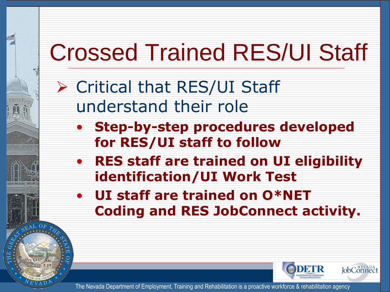# Crossed Trained RES/UI Staff

- Critical that RES/UI Staff understand their role
	- **Step-by-step procedures developed for RES/UI staff to follow**
	- **RES staff are trained on UI eligibility identification/UI Work Test**
	- **UI staff are trained on O\*NET Coding and RES JobConnect activity.**

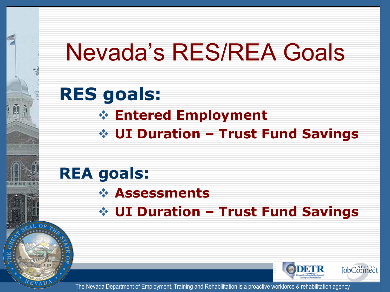## Nevada's RES/REA Goals

#### **RES goals: Entered Employment UI Duration – Trust Fund Savings**

#### **REA goals:**

- **Assessments**
- **UI Duration Trust Fund Savings**

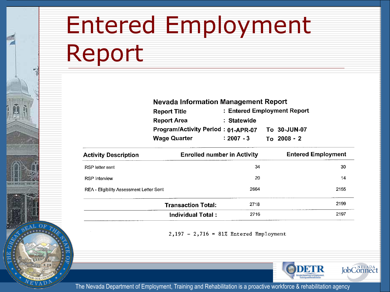## Entered Employment Report

HER HUGH HELP

| <b>Nevada Information Management Report</b> |                             |  |               |  |  |  |
|---------------------------------------------|-----------------------------|--|---------------|--|--|--|
| <b>Report Title</b>                         | : Entered Employment Report |  |               |  |  |  |
| <b>Report Area</b>                          | : Statewide                 |  |               |  |  |  |
| Program/Activity Period: 01-APR-07          |                             |  | To 30-JUN-07  |  |  |  |
| <b>Wage Quarter</b>                         | $: 2007 - 3$                |  | $To 2008 - 2$ |  |  |  |

| <b>Activity Description</b>              | <b>Enrolled number in Activity</b> | <b>Entered Employment</b> |
|------------------------------------------|------------------------------------|---------------------------|
| RSP letter sent                          | 34                                 | 30                        |
| <b>RSP</b> Interview                     | 20                                 | 14                        |
| REA - Eligibility Assessment Letter Sent | 2664                               | 2155                      |
|                                          | 2718<br><b>Transaction Total:</b>  | 2199                      |
|                                          | Individual Total:<br>2716          | 2197                      |

 $2,197 - 2,716 = 81%$  Entered Employment

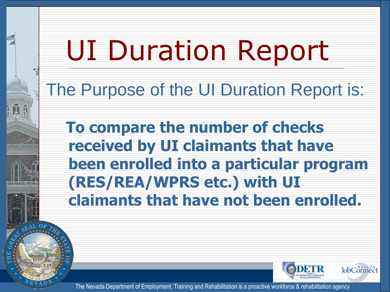# UI Duration Report

The Purpose of the UI Duration Report is:

**To compare the number of checks received by UI claimants that have been enrolled into a particular program (RES/REA/WPRS etc.) with UI claimants that have not been enrolled.** 

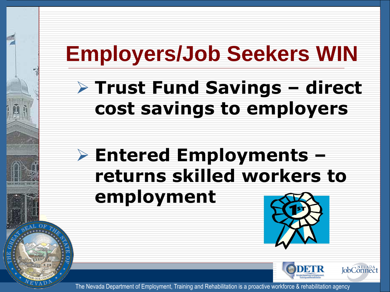## **Employers/Job Seekers WIN**

#### **Trust Fund Savings – direct cost savings to employers**

### **Entered Employments – returns skilled workers to employment**